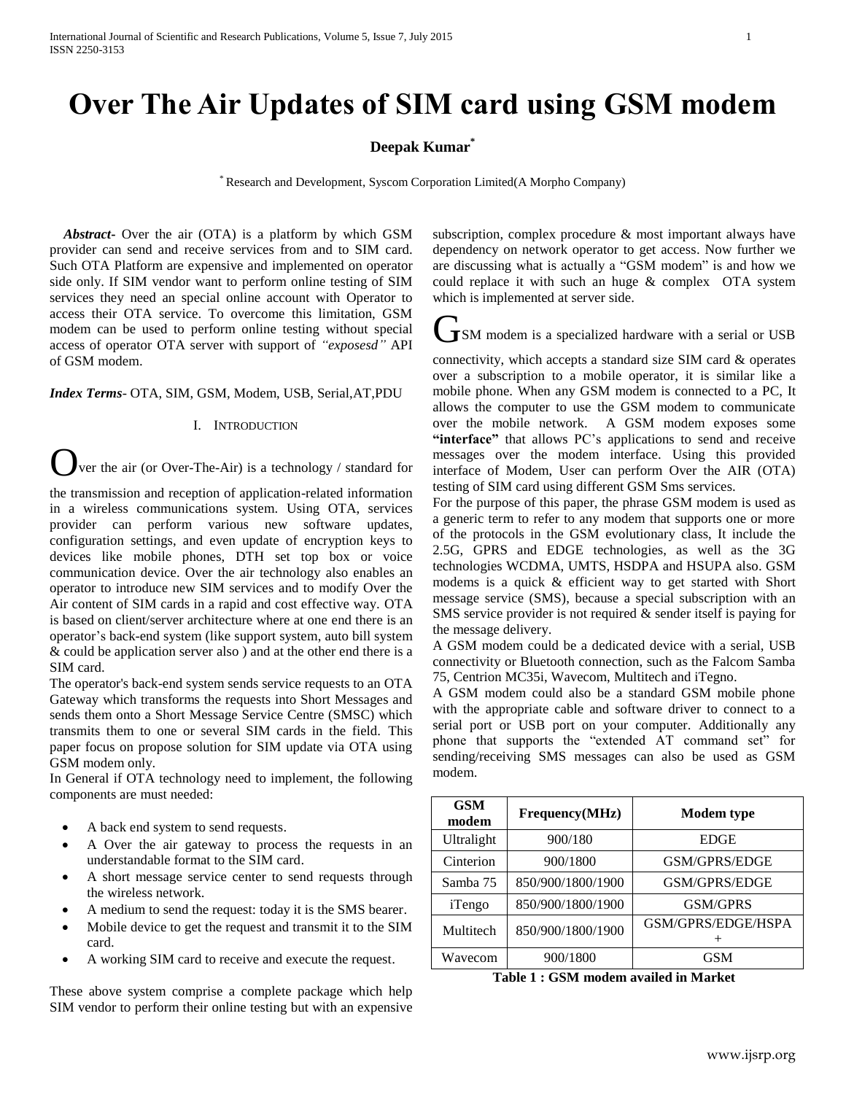# **Over The Air Updates of SIM card using GSM modem**

# **Deepak Kumar\***

\* Research and Development, Syscom Corporation Limited(A Morpho Company)

 *Abstract***-** Over the air (OTA) is a platform by which GSM provider can send and receive services from and to SIM card. Such OTA Platform are expensive and implemented on operator side only. If SIM vendor want to perform online testing of SIM services they need an special online account with Operator to access their OTA service. To overcome this limitation, GSM modem can be used to perform online testing without special access of operator OTA server with support of *"exposesd"* API of GSM modem.

*Index Terms*- OTA, SIM, GSM, Modem, USB, Serial,AT,PDU

#### I. INTRODUCTION

ver the air (or Over-The-Air) is a technology / standard for

the transmission and reception of application-related information in a wireless communications system. Using OTA, services provider can perform various new software updates, configuration settings, and even update of encryption keys to devices like mobile phones, DTH set top box or voice communication device. Over the air technology also enables an operator to introduce new SIM services and to modify Over the Air content of SIM cards in a rapid and cost effective way. OTA is based on client/server architecture where at one end there is an operator's back-end system (like support system, auto bill system & could be application server also ) and at the other end there is a SIM card.

The operator's back-end system sends service requests to an OTA Gateway which transforms the requests into Short Messages and sends them onto a Short Message Service Centre (SMSC) which transmits them to one or several SIM cards in the field. This paper focus on propose solution for SIM update via OTA using GSM modem only.

In General if OTA technology need to implement, the following components are must needed:

- A back end system to send requests.
- A Over the air gateway to process the requests in an understandable format to the SIM card.
- A short message service center to send requests through the wireless network.
- A medium to send the request: today it is the SMS bearer.
- Mobile device to get the request and transmit it to the SIM card.
- A working SIM card to receive and execute the request.

These above system comprise a complete package which help SIM vendor to perform their online testing but with an expensive subscription, complex procedure  $\&$  most important always have dependency on network operator to get access. Now further we are discussing what is actually a "GSM modem" is and how we could replace it with such an huge & complex OTA system which is implemented at server side.

ISM modem is a specialized hardware with a serial or USB

connectivity, which accepts a standard size SIM card & operates over a subscription to a mobile operator, it is similar like a mobile phone. When any GSM modem is connected to a PC, It allows the computer to use the GSM modem to communicate over the mobile network. A GSM modem exposes some **"interface"** that allows PC's applications to send and receive messages over the modem interface. Using this provided interface of Modem, User can perform Over the AIR (OTA) testing of SIM card using different GSM Sms services.

For the purpose of this paper, the phrase GSM modem is used as a generic term to refer to any modem that supports one or more of the protocols in the GSM evolutionary class, It include the 2.5G, GPRS and EDGE technologies, as well as the 3G technologies WCDMA, UMTS, HSDPA and HSUPA also. GSM modems is a quick & efficient way to get started with Short message service (SMS), because a special subscription with an SMS service provider is not required & sender itself is paying for the message delivery.

A GSM modem could be a dedicated device with a serial, USB connectivity or Bluetooth connection, such as the Falcom Samba 75, Centrion MC35i, Wavecom, Multitech and iTegno.

A GSM modem could also be a standard GSM mobile phone with the appropriate cable and software driver to connect to a serial port or USB port on your computer. Additionally any phone that supports the "extended AT command set" for sending/receiving SMS messages can also be used as GSM modem.

| <b>GSM</b><br>modem | Frequency(MHz)    | Modem type         |  |  |  |
|---------------------|-------------------|--------------------|--|--|--|
| Ultralight          | 900/180           | <b>EDGE</b>        |  |  |  |
| Cinterion           | 900/1800          | GSM/GPRS/EDGE      |  |  |  |
| Samba 75            | 850/900/1800/1900 | GSM/GPRS/EDGE      |  |  |  |
| iTengo              | 850/900/1800/1900 | <b>GSM/GPRS</b>    |  |  |  |
| Multitech           | 850/900/1800/1900 | GSM/GPRS/EDGE/HSPA |  |  |  |
|                     |                   |                    |  |  |  |
| Wavecom             | 900/1800          | <b>GSM</b>         |  |  |  |
|                     |                   |                    |  |  |  |

**Table 1 : GSM modem availed in Market**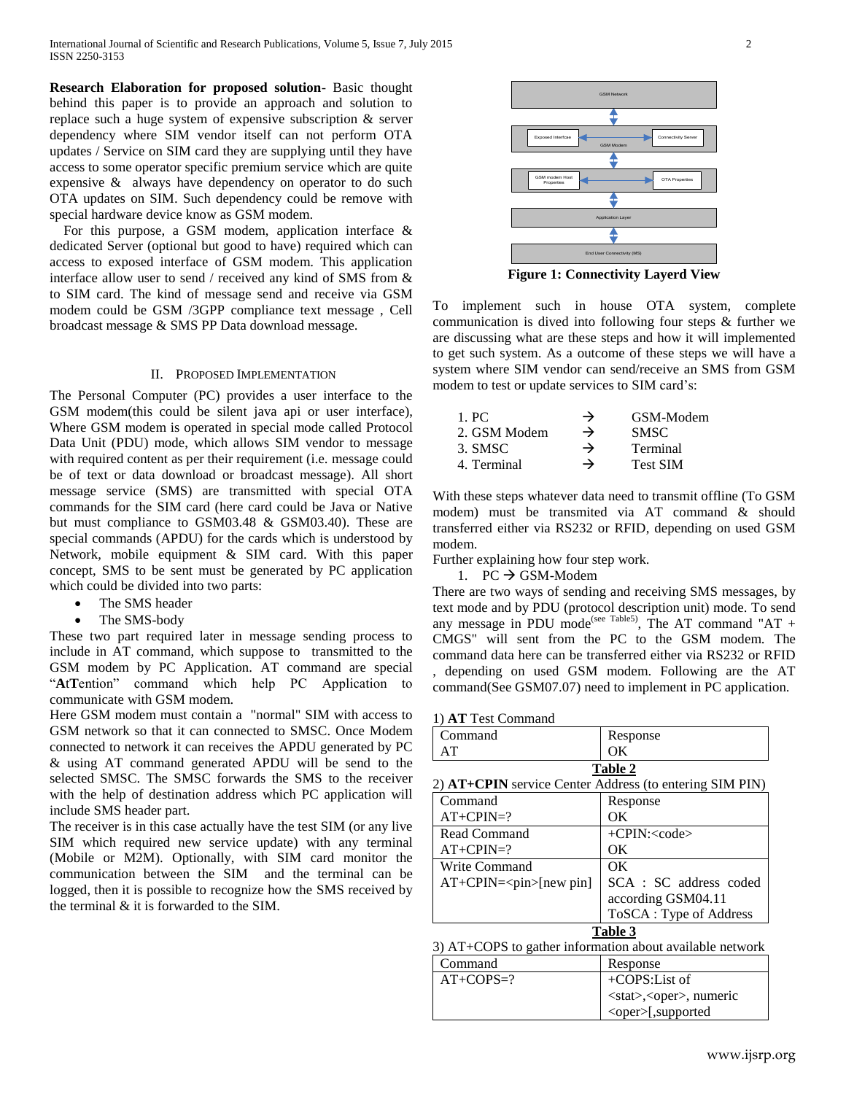**Research Elaboration for proposed solution**- Basic thought behind this paper is to provide an approach and solution to replace such a huge system of expensive subscription & server dependency where SIM vendor itself can not perform OTA updates / Service on SIM card they are supplying until they have access to some operator specific premium service which are quite expensive & always have dependency on operator to do such OTA updates on SIM. Such dependency could be remove with special hardware device know as GSM modem.

For this purpose, a GSM modem, application interface  $\&$ dedicated Server (optional but good to have) required which can access to exposed interface of GSM modem. This application interface allow user to send / received any kind of SMS from & to SIM card. The kind of message send and receive via GSM modem could be GSM /3GPP compliance text message , Cell broadcast message & SMS PP Data download message.

#### II. PROPOSED IMPLEMENTATION

The Personal Computer (PC) provides a user interface to the GSM modem(this could be silent java api or user interface), Where GSM modem is operated in special mode called Protocol Data Unit (PDU) mode, which allows SIM vendor to message with required content as per their requirement *(i.e. message could*) be of text or data download or broadcast message). All short message service (SMS) are transmitted with special OTA commands for the SIM card (here card could be Java or Native but must compliance to GSM03.48 & GSM03.40). These are special commands (APDU) for the cards which is understood by Network, mobile equipment & SIM card. With this paper concept, SMS to be sent must be generated by PC application which could be divided into two parts:

- The SMS header
- The SMS-body

These two part required later in message sending process to include in AT command, which suppose to transmitted to the GSM modem by PC Application. AT command are special "**A**t**T**ention" command which help PC Application to communicate with GSM modem.

Here GSM modem must contain a "normal" SIM with access to GSM network so that it can connected to SMSC. Once Modem connected to network it can receives the APDU generated by PC & using AT command generated APDU will be send to the selected SMSC. The SMSC forwards the SMS to the receiver with the help of destination address which PC application will include SMS header part.

The receiver is in this case actually have the test SIM (or any live SIM which required new service update) with any terminal (Mobile or M2M). Optionally, with SIM card monitor the communication between the SIM and the terminal can be logged, then it is possible to recognize how the SMS received by the terminal & it is forwarded to the SIM.







To implement such in house OTA system, complete communication is dived into following four steps & further we are discussing what are these steps and how it will implemented to get such system. As a outcome of these steps we will have a system where SIM vendor can send/receive an SMS from GSM modem to test or update services to SIM card's:

| 1. PC        | $\rightarrow$ | GSM-Modem       |
|--------------|---------------|-----------------|
| 2. GSM Modem | $\rightarrow$ | <b>SMSC</b>     |
| 3. SMSC      | →             | Terminal        |
| 4. Terminal  | →             | <b>Test SIM</b> |

With these steps whatever data need to transmit offline (To GSM modem) must be transmited via AT command & should transferred either via RS232 or RFID, depending on used GSM modem.

Further explaining how four step work.

1. PC  $\rightarrow$  GSM-Modem

There are two ways of sending and receiving SMS messages, by text mode and by PDU (protocol description unit) mode. To send any message in PDU mode<sup>(see Table5)</sup>, The AT command "AT + CMGS" will sent from the PC to the GSM modem. The command data here can be transferred either via RS232 or RFID , depending on used GSM modem. Following are the AT command(See GSM07.07) need to implement in PC application.

| Command                                                        | Response               |  |  |  |  |
|----------------------------------------------------------------|------------------------|--|--|--|--|
| AT                                                             | OК                     |  |  |  |  |
|                                                                | Table 2                |  |  |  |  |
| 2) <b>AT+CPIN</b> service Center Address (to entering SIM PIN) |                        |  |  |  |  |
| Command                                                        | Response               |  |  |  |  |
| $AT+CPIN=?$                                                    | OК                     |  |  |  |  |
| Read Command                                                   | $+CPIN: code$          |  |  |  |  |
| $AT+CPIN=?$                                                    | OК                     |  |  |  |  |
| Write Command                                                  | OK                     |  |  |  |  |
| $AT+CPIN=[new pin]$                                            | SCA : SC address coded |  |  |  |  |
|                                                                | according GSM04.11     |  |  |  |  |
|                                                                | ToSCA: Type of Address |  |  |  |  |
| Table 3                                                        |                        |  |  |  |  |
| 3) AT+COPS to gather information about available network       |                        |  |  |  |  |
| Command                                                        | Response               |  |  |  |  |
| $AT+COPS=?$                                                    | $+COPS:List of$        |  |  |  |  |

<stat>,<oper>, numeric <oper>[,supported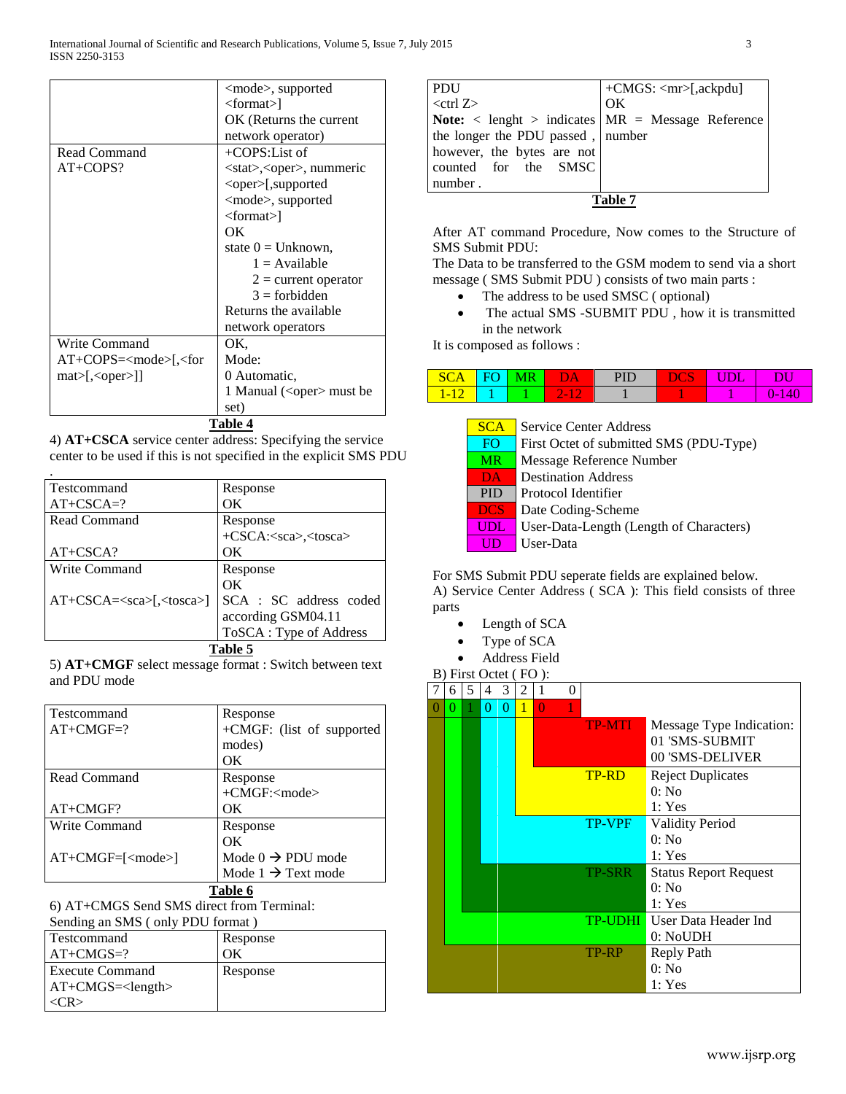|                                                           | $<$ mode $>$ , supported              |
|-----------------------------------------------------------|---------------------------------------|
|                                                           | $<$ format $>$ ]                      |
|                                                           | OK (Returns the current               |
|                                                           |                                       |
|                                                           | network operator)                     |
| Read Command                                              | $+COPS:List of$                       |
| $AT+COPS?$                                                | <stat>,<oper>, nummeric</oper></stat> |
|                                                           | <oper>[,supported</oper>              |
|                                                           | <mode>, supported</mode>              |
|                                                           | $\langle$ format $\rangle$            |
|                                                           | OK                                    |
|                                                           | state $0 =$ Unknown,                  |
|                                                           | $1 =$ Available                       |
|                                                           | $2 =$ current operator                |
|                                                           | $3 =$ forbidden                       |
|                                                           | Returns the available                 |
|                                                           | network operators                     |
| <b>Write Command</b>                                      | OK.                                   |
| AT+COPS= <mode>[,<for< td=""><td>Mode:</td></for<></mode> | Mode:                                 |
| mat>[, <oper>]]</oper>                                    | 0 Automatic.                          |
|                                                           | 1 Manual ( $\langle$ oper $>$ must be |
|                                                           | set)                                  |
|                                                           |                                       |

**Table 4**

4) **AT+CSCA** service center address: Specifying the service center to be used if this is not specified in the explicit SMS PDU

| l Testcommand             | Response                           |  |  |
|---------------------------|------------------------------------|--|--|
| $AT+CSCA=?$               | OΚ                                 |  |  |
| Read Command              | Response                           |  |  |
|                           | +CSCA: <sca>,<tosca></tosca></sca> |  |  |
| $AT+CSCA?$                | OК                                 |  |  |
| Write Command             | Response                           |  |  |
|                           | OΚ                                 |  |  |
| $AT+CSCA=<\sca>[<\ttosca$ | SCA : SC address coded             |  |  |
|                           | according GSM04.11                 |  |  |
|                           | ToSCA: Type of Address             |  |  |
|                           | Table 5                            |  |  |

5) **AT+CMGF** select message format : Switch between text and PDU mode

| Testcommand   | Response                             |
|---------------|--------------------------------------|
| $AT+CMGF=?$   | +CMGF: (list of supported            |
|               | modes)                               |
|               | OК                                   |
| Read Command  | Response                             |
|               | $+CMGF$ : $<$ mode $>$               |
| $AT+CMGF?$    | OК                                   |
| Write Command | Response                             |
|               | OΚ                                   |
| $AT+CMGF=[<$  | Mode $0 \rightarrow \text{PDU mode}$ |
|               | Mode $1 \rightarrow$ Text mode       |
|               | Table 6                              |

6) AT+CMGS Send SMS direct from Terminal:  $SMS$  ( only PDU format )

| Sending an SMS (Only PDU format) |          |  |  |  |  |
|----------------------------------|----------|--|--|--|--|
| Testcommand                      | Response |  |  |  |  |
| $AT+CMGS=?$                      | OК       |  |  |  |  |
| <b>Execute Command</b>           | Response |  |  |  |  |
| $AT+CMGS = $                     |          |  |  |  |  |
| $\langle CR \rangle$             |          |  |  |  |  |

| <b>PDU</b>                                                                 | $\vert$ +CMGS: <mr>[,ackpdu]</mr> |
|----------------------------------------------------------------------------|-----------------------------------|
| $<$ ctrl $Z>$                                                              | OK                                |
| <b>Note:</b> $\langle$ lenght $\rangle$ indicates $MR = Message$ Reference |                                   |
| the longer the PDU passed, number                                          |                                   |
| however, the bytes are not                                                 |                                   |
| counted for the SMSC                                                       |                                   |
| number.                                                                    |                                   |
|                                                                            |                                   |

After AT command Procedure, Now comes to the Structure of SMS Submit PDU:

The Data to be transferred to the GSM modem to send via a short message ( SMS Submit PDU ) consists of two main parts :

- The address to be used SMSC ( optional)
- The actual SMS -SUBMIT PDU, how it is transmitted in the network

It is composed as follows :

| ◡<br>- | . |                                    | ш | ОĿ | DU         |
|--------|---|------------------------------------|---|----|------------|
|        |   | $\sim$<br>$\overline{\phantom{a}}$ |   |    | . .<br>. . |

| <b>SCA</b> | <b>Service Center Address</b>           |  |  |  |  |
|------------|-----------------------------------------|--|--|--|--|
| FO.        | First Octet of submitted SMS (PDU-Type) |  |  |  |  |
| <b>MR</b>  | Message Reference Number                |  |  |  |  |
| <b>DA</b>  | <b>Destination Address</b>              |  |  |  |  |
| <b>PID</b> | Protocol Identifier                     |  |  |  |  |
| <b>DCS</b> | Date Coding-Scheme                      |  |  |  |  |
| UDL        | User-Data-Length (Length of Characters) |  |  |  |  |
| UD         | User-Data                               |  |  |  |  |

For SMS Submit PDU seperate fields are explained below. A) Service Center Address ( SCA ): This field consists of three parts

- Length of SCA
- Type of SCA
- Address Field

| B) First Octet (FO): |          |   |                |          |   |          |   |                |                              |
|----------------------|----------|---|----------------|----------|---|----------|---|----------------|------------------------------|
| 7                    | 6        | 5 | $\overline{4}$ | 3        | 2 | 1        | 0 |                |                              |
| 0                    | $\Omega$ |   | 0              | $\Omega$ | 1 | $\theta$ |   |                |                              |
|                      |          |   |                |          |   |          |   | <b>TP-MTI</b>  | Message Type Indication:     |
|                      |          |   |                |          |   |          |   |                | 01 'SMS-SUBMIT               |
|                      |          |   |                |          |   |          |   |                | 00 'SMS-DELIVER              |
|                      |          |   |                |          |   |          |   | <b>TP-RD</b>   | <b>Reject Duplicates</b>     |
|                      |          |   |                |          |   |          |   |                | 0: No                        |
|                      |          |   |                |          |   |          |   |                | 1: Yes                       |
|                      |          |   |                |          |   |          |   | <b>TP-VPF</b>  | <b>Validity Period</b>       |
|                      |          |   |                |          |   |          |   |                | 0: No                        |
|                      |          |   |                |          |   |          |   |                | 1: Yes                       |
|                      |          |   |                |          |   |          |   | <b>TP-SRR</b>  | <b>Status Report Request</b> |
|                      |          |   |                |          |   |          |   |                | 0: No                        |
|                      |          |   |                |          |   |          |   |                | 1: Yes                       |
|                      |          |   |                |          |   |          |   | <b>TP-UDHI</b> | User Data Header Ind         |
|                      |          |   |                |          |   |          |   |                | 0: NoUDH                     |
|                      |          |   |                |          |   |          |   | TP-RP          | Reply Path                   |
|                      |          |   |                |          |   |          |   |                | 0: No                        |
|                      |          |   |                |          |   |          |   |                | 1: Yes                       |
|                      |          |   |                |          |   |          |   |                |                              |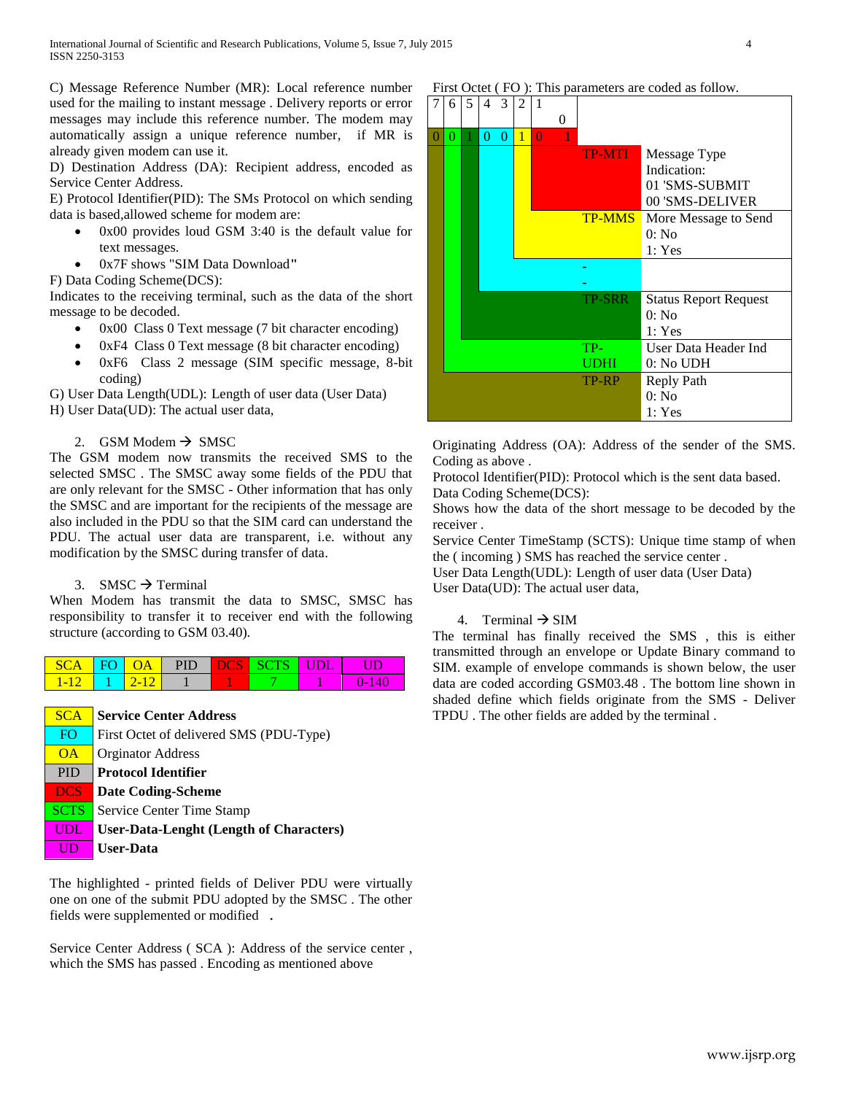C) Message Reference Number (MR): Local reference number used for the mailing to instant message . Delivery reports or error messages may include this reference number. The modem may automatically assign a unique reference number, if MR is already given modem can use it.

D) Destination Address (DA): Recipient address, encoded as Service Center Address.

E) Protocol Identifier(PID): The SMs Protocol on which sending data is based,allowed scheme for modem are:

- 0x00 provides loud GSM 3:40 is the default value for text messages.
- 0x7F shows "SIM Data Download**"**

F) Data Coding Scheme(DCS):

Indicates to the receiving terminal, such as the data of the short message to be decoded.

- 0x00 Class 0 Text message (7 bit character encoding)
- 0xF4 Class 0 Text message (8 bit character encoding)
- 0xF6 Class 2 message (SIM specific message, 8-bit coding)

G) User Data Length(UDL): Length of user data (User Data) H) User Data(UD): The actual user data,

## 2. GSM Modem  $\rightarrow$  SMSC

The GSM modem now transmits the received SMS to the selected SMSC . The SMSC away some fields of the PDU that are only relevant for the SMSC - Other information that has only the SMSC and are important for the recipients of the message are also included in the PDU so that the SIM card can understand the PDU. The actual user data are transparent, i.e. without any modification by the SMSC during transfer of data.

### 3. SMSC  $\rightarrow$  Terminal

When Modem has transmit the data to SMSC, SMSC has responsibility to transfer it to receiver end with the following structure (according to GSM 03.40).



# **SCA** Service Center Address FO First Octet of delivered SMS (PDU-Type) **OA** Orginator Address PID **Protocol Identifier DCS Date Coding-Scheme SCTS** Service Center Time Stamp UDL **User-Data-Lenght (Length of Characters)** UD **User-Data**

The highlighted - printed fields of Deliver PDU were virtually one on one of the submit PDU adopted by the SMSC . The other fields were supplemented or modified .

Service Center Address ( SCA ): Address of the service center , which the SMS has passed . Encoding as mentioned above

First Octet (FO): This parameters are coded as follow.

|   | 6 | 5 | 4 | 3 | 2 | 1        |          |               |                                                                  |
|---|---|---|---|---|---|----------|----------|---------------|------------------------------------------------------------------|
|   |   |   |   |   |   |          | $\Omega$ |               |                                                                  |
| O | 0 |   | 0 | 0 | 1 | $\Omega$ |          |               |                                                                  |
|   |   |   |   |   |   |          |          | <b>TP-MTI</b> | Message Type<br>Indication:<br>01 'SMS-SUBMIT<br>00 'SMS-DELIVER |
|   |   |   |   |   |   |          |          | <b>TP-MMS</b> | More Message to Send<br>0: No                                    |
|   |   |   |   |   |   |          |          |               | 1: Yes                                                           |
|   |   |   |   |   |   |          |          |               |                                                                  |
|   |   |   |   |   |   |          |          |               |                                                                  |
|   |   |   |   |   |   |          |          | <b>TP-SRR</b> | <b>Status Report Request</b>                                     |
|   |   |   |   |   |   |          |          |               | 0: No                                                            |
|   |   |   |   |   |   |          |          |               | 1: Yes                                                           |
|   |   |   |   |   |   |          |          | TP-           | User Data Header Ind                                             |
|   |   |   |   |   |   |          |          | UDHI          | $0:$ No UDH                                                      |
|   |   |   |   |   |   |          |          | TP-RP         | Reply Path                                                       |
|   |   |   |   |   |   |          |          |               | $0:$ No                                                          |
|   |   |   |   |   |   |          |          |               | 1: Yes                                                           |

Originating Address (OA): Address of the sender of the SMS. Coding as above .

Protocol Identifier(PID): Protocol which is the sent data based. Data Coding Scheme(DCS):

Shows how the data of the short message to be decoded by the receiver .

Service Center TimeStamp (SCTS): Unique time stamp of when the ( incoming ) SMS has reached the service center .

User Data Length(UDL): Length of user data (User Data) User Data(UD): The actual user data,

## 4. Terminal  $\rightarrow$  SIM

The terminal has finally received the SMS , this is either transmitted through an envelope or Update Binary command to SIM. example of envelope commands is shown below, the user data are coded according GSM03.48 . The bottom line shown in shaded define which fields originate from the SMS - Deliver TPDU . The other fields are added by the terminal .